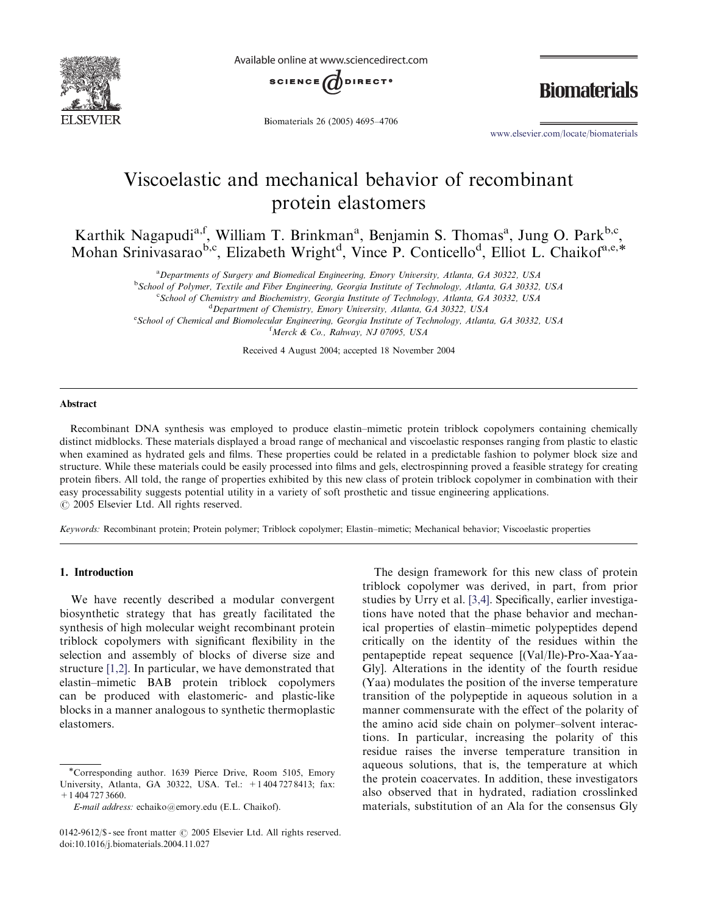

Available online at www.sciencedirect.com



**Biomaterials** 

Biomaterials 26 (2005) 4695–4706

www.elsevier.com/locate/biomaterials

# Viscoelastic and mechanical behavior of recombinant protein elastomers

Karthik Nagapudi<sup>a, f</sup>, William T. Brinkman<sup>a</sup>, Benjamin S. Thomas<sup>a</sup>, Jung O. Park<sup>b,c</sup>, Mohan Srinivasarao<sup>b,c</sup>, Elizabeth Wright<sup>d</sup>, Vince P. Conticello<sup>d</sup>, Elliot L. Chaikof<sup>a,e,\*</sup>

<sup>a</sup> Departments of Surgery and Biomedical Engineering, Emory University, Atlanta, GA 30322, USA

<sup>b</sup> School of Polymer, Textile and Fiber Engineering, Georgia Institute of Technology, Atlanta, GA 30332, USA

<sup>c</sup> School of Chemistry and Biochemistry, Georgia Institute of Technology, Atlanta, GA 30332, USA

<sup>d</sup> Department of Chemistry, Emory University, Atlanta, GA 30322, USA

e<br>School of Chemical and Biomolecular Engineering, Georgia Institute of Technology, Atlanta, GA 30332, USA

f Merck & Co., Rahway, NJ 07095, USA

Received 4 August 2004; accepted 18 November 2004

#### Abstract

Recombinant DNA synthesis was employed to produce elastin–mimetic protein triblock copolymers containing chemically distinct midblocks. These materials displayed a broad range of mechanical and viscoelastic responses ranging from plastic to elastic when examined as hydrated gels and films. These properties could be related in a predictable fashion to polymer block size and structure. While these materials could be easily processed into films and gels, electrospinning proved a feasible strategy for creating protein fibers. All told, the range of properties exhibited by this new class of protein triblock copolymer in combination with their easy processability suggests potential utility in a variety of soft prosthetic and tissue engineering applications.  $\odot$  2005 Elsevier Ltd. All rights reserved.

Keywords: Recombinant protein; Protein polymer; Triblock copolymer; Elastin–mimetic; Mechanical behavior; Viscoelastic properties

## 1. Introduction

We have recently described a modular convergent biosynthetic strategy that has greatly facilitated the synthesis of high molecular weight recombinant protein triblock copolymers with significant flexibility in the selection and assembly of blocks of diverse size and structure [1,2]. In particular, we have demonstrated that elastin–mimetic BAB protein triblock copolymers can be produced with elastomeric- and plastic-like blocks in a manner analogous to synthetic thermoplastic elastomers.

The design framework for this new class of protein triblock copolymer was derived, in part, from prior studies by Urry et al. [3,4]. Specifically, earlier investigations have noted that the phase behavior and mechanical properties of elastin–mimetic polypeptides depend critically on the identity of the residues within the pentapeptide repeat sequence [(Val/Ile)-Pro-Xaa-Yaa-Gly]. Alterations in the identity of the fourth residue (Yaa) modulates the position of the inverse temperature transition of the polypeptide in aqueous solution in a manner commensurate with the effect of the polarity of the amino acid side chain on polymer–solvent interactions. In particular, increasing the polarity of this residue raises the inverse temperature transition in aqueous solutions, that is, the temperature at which the protein coacervates. In addition, these investigators also observed that in hydrated, radiation crosslinked materials, substitution of an Ala for the consensus Gly

<sup>\*</sup>Corresponding author. 1639 Pierce Drive, Room 5105, Emory University, Atlanta, GA 30322, USA. Tel.: +1 404 727 8413; fax: +1 404 727 3660.

E-mail address: echaiko@emory.edu (E.L. Chaikof).

<sup>0142-9612/\$ -</sup> see front matter  $\odot$  2005 Elsevier Ltd. All rights reserved. doi:10.1016/j.biomaterials.2004.11.027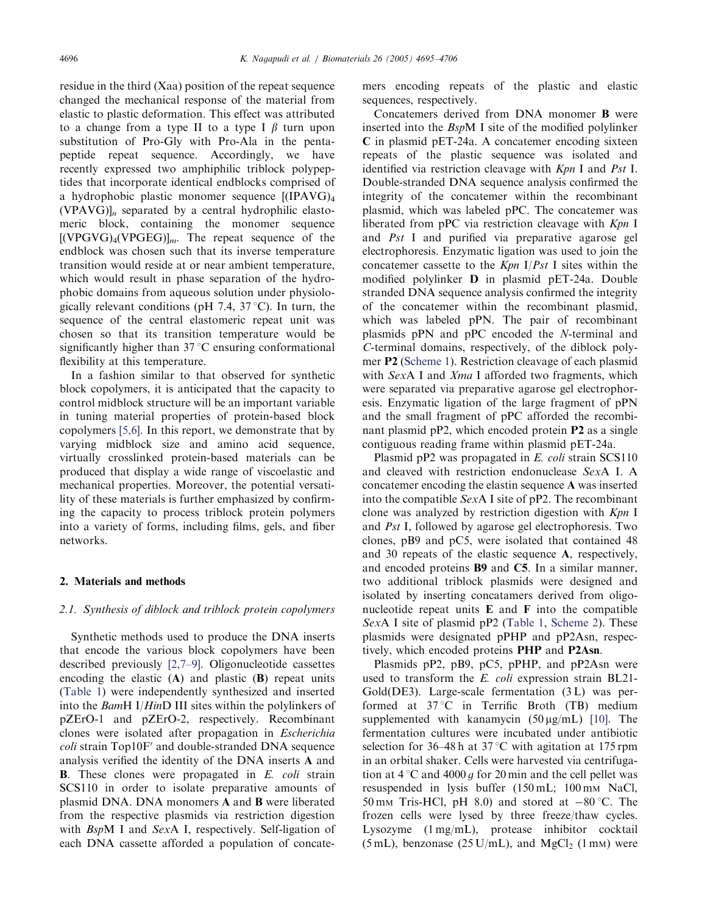residue in the third (Xaa) position of the repeat sequence changed the mechanical response of the material from elastic to plastic deformation. This effect was attributed to a change from a type II to a type I  $\beta$  turn upon substitution of Pro-Gly with Pro-Ala in the pentapeptide repeat sequence. Accordingly, we have recently expressed two amphiphilic triblock polypeptides that incorporate identical endblocks comprised of a hydrophobic plastic monomer sequence [(IPAVG)4  $(VPAVG)$ <sub>n</sub> separated by a central hydrophilic elastomeric block, containing the monomer sequence  $[(VPGVG)_{4}(VPGEG)]_{m}$ . The repeat sequence of the endblock was chosen such that its inverse temperature transition would reside at or near ambient temperature, which would result in phase separation of the hydrophobic domains from aqueous solution under physiologically relevant conditions (pH 7.4,  $37^{\circ}$ C). In turn, the sequence of the central elastomeric repeat unit was chosen so that its transition temperature would be significantly higher than  $37^{\circ}$ C ensuring conformational flexibility at this temperature.

In a fashion similar to that observed for synthetic block copolymers, it is anticipated that the capacity to control midblock structure will be an important variable in tuning material properties of protein-based block copolymers [5,6]. In this report, we demonstrate that by varying midblock size and amino acid sequence, virtually crosslinked protein-based materials can be produced that display a wide range of viscoelastic and mechanical properties. Moreover, the potential versatility of these materials is further emphasized by confirming the capacity to process triblock protein polymers into a variety of forms, including films, gels, and fiber networks.

#### 2. Materials and methods

#### 2.1. Synthesis of diblock and triblock protein copolymers

Synthetic methods used to produce the DNA inserts that encode the various block copolymers have been described previously [2,7–9]. Oligonucleotide cassettes encoding the elastic  $(A)$  and plastic  $(B)$  repeat units (Table 1) were independently synthesized and inserted into the BamH I/HinD III sites within the polylinkers of pZErO-1 and pZErO-2, respectively. Recombinant clones were isolated after propagation in Escherichia  $\text{coll}$  strain Top10F' and double-stranded DNA sequence analysis verified the identity of the DNA inserts A and **B**. These clones were propagated in  $E$ . *coli* strain SCS110 in order to isolate preparative amounts of plasmid DNA. DNA monomers A and B were liberated from the respective plasmids via restriction digestion with BspM I and SexA I, respectively. Self-ligation of each DNA cassette afforded a population of concatemers encoding repeats of the plastic and elastic sequences, respectively.

Concatemers derived from DNA monomer B were inserted into the BspM I site of the modified polylinker C in plasmid pET-24a. A concatemer encoding sixteen repeats of the plastic sequence was isolated and identified via restriction cleavage with Kpn I and Pst I. Double-stranded DNA sequence analysis confirmed the integrity of the concatemer within the recombinant plasmid, which was labeled pPC. The concatemer was liberated from pPC via restriction cleavage with Kpn I and Pst I and purified via preparative agarose gel electrophoresis. Enzymatic ligation was used to join the concatemer cassette to the  $Kpn$  I/Pst I sites within the modified polylinker D in plasmid pET-24a. Double stranded DNA sequence analysis confirmed the integrity of the concatemer within the recombinant plasmid, which was labeled pPN. The pair of recombinant plasmids pPN and pPC encoded the N-terminal and C-terminal domains, respectively, of the diblock polymer P2 (Scheme 1). Restriction cleavage of each plasmid with SexA I and Xma I afforded two fragments, which were separated via preparative agarose gel electrophoresis. Enzymatic ligation of the large fragment of pPN and the small fragment of pPC afforded the recombinant plasmid pP2, which encoded protein P2 as a single contiguous reading frame within plasmid pET-24a.

Plasmid pP2 was propagated in E. coli strain SCS110 and cleaved with restriction endonuclease SexA I. A concatemer encoding the elastin sequence A was inserted into the compatible SexA I site of pP2. The recombinant clone was analyzed by restriction digestion with Kpn I and Pst I, followed by agarose gel electrophoresis. Two clones, pB9 and pC5, were isolated that contained 48 and 30 repeats of the elastic sequence A, respectively, and encoded proteins B9 and C5. In a similar manner, two additional triblock plasmids were designed and isolated by inserting concatamers derived from oligonucleotide repeat units  $E$  and  $F$  into the compatible SexA I site of plasmid pP2 (Table 1, Scheme 2). These plasmids were designated pPHP and pP2Asn, respectively, which encoded proteins PHP and P2Asn.

Plasmids pP2, pB9, pC5, pPHP, and pP2Asn were used to transform the E. coli expression strain BL21-Gold(DE3). Large-scale fermentation (3 L) was performed at  $37^{\circ}$ C in Terrific Broth (TB) medium supplemented with kanamycin  $(50 \mu g/mL)$  [10]. The fermentation cultures were incubated under antibiotic selection for 36–48 h at 37 °C with agitation at 175 rpm in an orbital shaker. Cells were harvested via centrifugation at  $4^{\circ}$ C and  $4000 g$  for 20 min and the cell pellet was resuspended in lysis buffer (150 mL; 100 mm NaCl, 50 mm Tris-HCl, pH 8.0) and stored at  $-80^{\circ}$ C. The frozen cells were lysed by three freeze/thaw cycles. Lysozyme (1 mg/mL), protease inhibitor cocktail (5 mL), benzonase (25 U/mL), and  $MgCl<sub>2</sub>$  (1 mm) were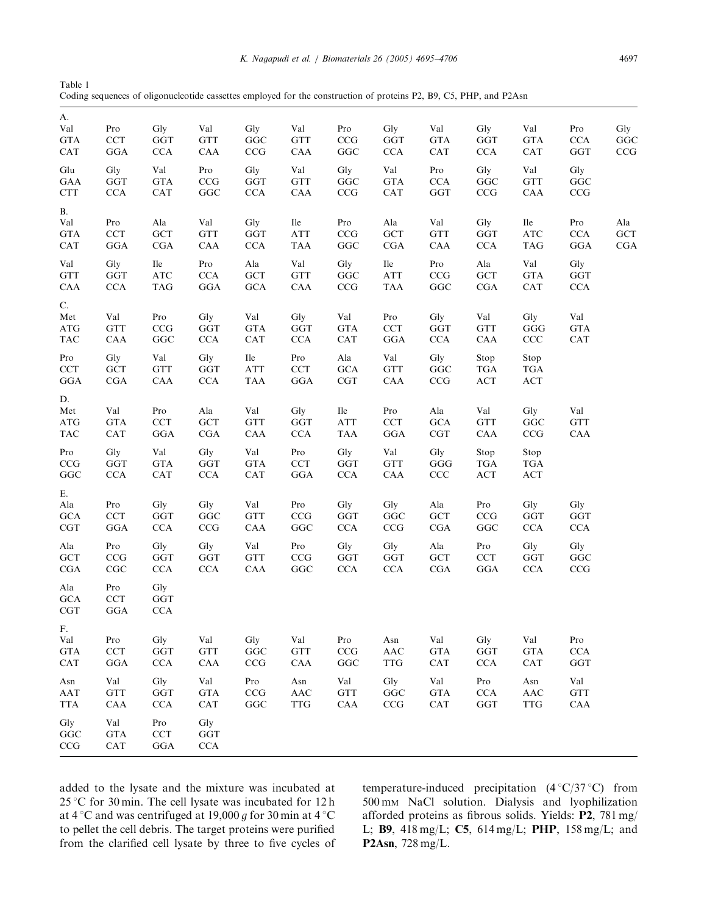| Table 1                                                                                                            |  |
|--------------------------------------------------------------------------------------------------------------------|--|
| Coding sequences of oligonucleotide cassettes employed for the construction of proteins P2, B9, C5, PHP, and P2Asn |  |

| A.<br>Val<br><b>GTA</b><br><b>CAT</b>                                                   | Pro<br><b>CCT</b><br>GGA                          | Gly<br>GGT<br>CCA                                           | Val<br><b>GTT</b><br>CAA                                  | Gly<br>$_{\rm GGC}$<br>CCG                    | Val<br><b>GTT</b><br>CAA                         | Pro<br>CCG<br>$_{\rm GGC}$                 | Gly<br>$\operatorname{GGT}$<br>$\rm CCA$                  | Val<br><b>GTA</b><br>CAT                                                | Gly<br>GGT<br>CCA                          | Val<br><b>GTA</b><br>$\mathsf{CAT}$                   | Pro<br><b>CCA</b><br>GGT                        | Gly<br>GGC<br>CCG        |
|-----------------------------------------------------------------------------------------|---------------------------------------------------|-------------------------------------------------------------|-----------------------------------------------------------|-----------------------------------------------|--------------------------------------------------|--------------------------------------------|-----------------------------------------------------------|-------------------------------------------------------------------------|--------------------------------------------|-------------------------------------------------------|-------------------------------------------------|--------------------------|
| Glu<br>GAA<br><b>CTT</b>                                                                | Gly<br>GGT<br><b>CCA</b>                          | Val<br><b>GTA</b><br>CAT                                    | Pro<br>CCG<br>$_{\rm GGC}$                                | Gly<br>GGT<br>$\rm CCA$                       | Val<br><b>GTT</b><br>CAA                         | Gly<br>$_{\rm GGC}$<br>$\rm{CCG}$          | Val<br><b>GTA</b><br>CAT                                  | Pro<br>$\rm CCA$<br>$_{\rm GGT}$                                        | Gly<br>$_{\rm GGC}$<br>$\mathbf{CCG}$      | Val<br><b>GTT</b><br>${\rm CAA}$                      | Gly<br>GGC<br>$\rm{CCG}$                        |                          |
| B.<br>Val<br><b>GTA</b><br>CAT                                                          | Pro<br>CCT<br>GGA                                 | Ala<br><b>GCT</b><br><b>CGA</b>                             | Val<br><b>GTT</b><br>CAA                                  | Gly<br><b>GGT</b><br><b>CCA</b>               | Ile<br>$\rm ATT$<br><b>TAA</b>                   | Pro<br>CCG<br>GGC                          | Ala<br>$\operatorname{GCT}$<br>CGA                        | Val<br><b>GTT</b><br>CAA                                                | Gly<br>$_{\rm GGT}$<br><b>CCA</b>          | Ile<br>$\rm{ATC}$<br><b>TAG</b>                       | Pro<br>CCA<br>GGA                               | Ala<br><b>GCT</b><br>CGA |
| Val<br><b>GTT</b><br>CAA                                                                | Gly<br><b>GGT</b><br><b>CCA</b>                   | Ile<br><b>ATC</b><br><b>TAG</b>                             | Pro<br>CCA<br>GGA                                         | $\rm Ala$<br><b>GCT</b><br><b>GCA</b>         | Val<br><b>GTT</b><br>CAA                         | Gly<br>$_{\rm GGC}$<br>CCG                 | Ile<br>ATT<br><b>TAA</b>                                  | Pro<br>CCG<br>GGC                                                       | ${\rm Ala}$<br>$\operatorname{GCT}$<br>CGA | Val<br><b>GTA</b><br>CAT                              | Gly<br>GGT<br><b>CCA</b>                        |                          |
| C.<br>Met<br>$\mathbf{ATG}$<br><b>TAC</b><br>Pro                                        | Val<br><b>GTT</b><br>CAA<br>Gly                   | Pro<br>CCG<br>$_{\rm GGC}$<br>Val                           | Gly<br>$\operatorname{GGT}$<br><b>CCA</b><br>Gly          | Val<br><b>GTA</b><br>CAT<br><b>Ile</b>        | Gly<br>$\operatorname{GGT}$<br><b>CCA</b><br>Pro | Val<br>$\mathsf{GTA}$<br><b>CAT</b><br>Ala | Pro<br>CCT<br>GGA<br>Val                                  | Gly<br>GGT<br><b>CCA</b><br>Gly                                         | Val<br><b>GTT</b><br>CAA<br>Stop           | Gly<br>GGG<br>CCC<br>Stop                             | Val<br>$\mathbf{GTA}$<br>CAT                    |                          |
| CCT<br>$_{\rm GGA}$                                                                     | $\operatorname{GCT}$<br>$_{\rm CGA}$              | <b>GTT</b><br>CAA                                           | $\operatorname{GGT}$<br>CCA                               | $\operatorname{ATT}$<br><b>TAA</b>            | $\ensuremath{\text{CCT}}$<br>$_{\rm GGA}$        | GCA<br>$_{\rm CGT}$                        | <b>GTT</b><br>${\rm CAA}$                                 | GGC<br>$\mathbf{CCG}$                                                   | <b>TGA</b><br>$\mathbf{ACT}$               | <b>TGA</b><br>$\mathbf{ACT}$                          |                                                 |                          |
| D.<br>Met<br>$\mathbf{ATG}$<br><b>TAC</b>                                               | Val<br><b>GTA</b><br>CAT                          | Pro<br>$\ensuremath{\text{CCT}}$<br>GGA                     | Ala<br>GCT<br>$_{\rm CGA}$                                | Val<br>$\operatorname{GTT}$<br>CAA            | Gly<br>GGT<br>$\rm CCA$                          | Ile<br><b>ATT</b><br><b>TAA</b>            | Pro<br>$\ensuremath{\text{CCT}}$<br>GGA                   | $\rm Ala$<br>GCA<br><b>CGT</b>                                          | Val<br><b>GTT</b><br>${\rm CAA}$           | Gly<br>GGC<br>CCG                                     | Val<br>GTT<br>CAA                               |                          |
| $\Pr$<br>$\mathbf{CCG}$<br>$_{\rm GGC}$                                                 | Gly<br>GGT<br>CCA                                 | Val<br><b>GTA</b><br>CAT                                    | Gly<br>GGT<br>CCA                                         | Val<br>$\mathbf{GTA}$<br>CAT                  | Pro<br>CCT<br>$_{\rm GGA}$                       | Gly<br>GGT<br>CCA                          | Val<br><b>GTT</b><br>${\rm CAA}$                          | Gly<br>$_{\rm GGG}$<br>$\ensuremath{\text{CCC}}\xspace$                 | Stop<br>$_{\rm TGA}$<br>$\mathbf{ACT}$     | Stop<br>$_{\rm TGA}$<br>$\mathbf{ACT}$                |                                                 |                          |
| Ε.<br>$\rm Ala$<br>$_{\mathrm{GCA}}$<br><b>CGT</b><br>$\rm Ala$<br>$\operatorname{GCT}$ | Pro<br>CCT<br>$_{\rm GGA}$<br>$\Pr$<br>CCG        | Gly<br>GGT<br>CCA<br>Gly<br>GGT                             | Gly<br>$_{\rm GGC}$<br>CCG<br>Gly<br>$\operatorname{GGT}$ | Val<br><b>GTT</b><br>CAA<br>Val<br><b>GTT</b> | Pro<br>CCG<br>$_{\rm GGC}$<br>Pro<br>CCG         | Gly<br>GGT<br><b>CCA</b><br>Gly<br>GGT     | Gly<br>$_{\rm GGC}$<br>CCG<br>Gly<br>$\operatorname{GGT}$ | $\rm Ala$<br>$\operatorname{GCT}$<br>CGA<br>Ala<br>$\operatorname{GCT}$ | Pro<br>CCG<br>GGC<br>Pro<br>CCT            | Gly<br>GGT<br><b>CCA</b><br>Gly<br>GGT                | Gly<br>GGT<br><b>CCA</b><br>Gly<br>$_{\rm GGC}$ |                          |
| $_{\rm CGA}$<br>$\rm Ala$<br>$_{\mathrm{GCA}}$<br>$_{\rm CGT}$                          | $\mathbf{CGC}$<br>Pro<br><b>CCT</b><br><b>GGA</b> | CCA<br>Gly<br>GGT<br>CCA                                    | <b>CCA</b>                                                | CAA                                           | $_{\rm GGC}$                                     | CCA                                        | $\rm CCA$                                                 | $_{\rm CGA}$                                                            | $_{\rm GGA}$                               | $\rm CCA$                                             | CCG                                             |                          |
| F.<br>Val<br><b>GTA</b><br><b>CAT</b>                                                   | Pro<br>$\ensuremath{\text{CCT}}$<br>$_{\rm GGA}$  | Gly<br>$_{\rm GGT}$<br>CCA                                  | Val<br><b>GTT</b><br>CAA                                  | Gly<br>$_{\rm GGC}$<br>CCG                    | Val<br><b>GTT</b><br>CAA                         | Pro<br>CCG<br>$_{\rm GGC}$                 | Asn<br>$\boldsymbol{\mathsf{AAC}}$<br><b>TTG</b>          | Val<br>$\mathsf{GTA}$<br>CAT                                            | Gly<br>$_{\rm GGT}$<br><b>CCA</b>          | Val<br><b>GTA</b><br>CAT                              | Pro<br>CCA<br>GGT                               |                          |
| Asn<br>AAT<br><b>TTA</b>                                                                | Val<br><b>GTT</b><br>CAA                          | Gly<br>$_{\rm GGT}$<br><b>CCA</b>                           | Val<br><b>GTA</b><br><b>CAT</b>                           | Pro<br>$\mathbf{CCG}$<br>$_{\rm GGC}$         | Asn<br><b>AAC</b><br><b>TTG</b>                  | Val<br><b>GTT</b><br>CAA                   | Gly<br>$_{\rm GGC}$<br>$\rm{CCG}$                         | Val<br><b>GTA</b><br>CAT                                                | Pro<br>CCA<br>GGT                          | Asn<br>$\mathbf{A}\mathbf{A}\mathbf{C}$<br><b>TTG</b> | Val<br><b>GTT</b><br>CAA                        |                          |
| Gly<br>GGC<br>CCG                                                                       | Val<br><b>GTA</b><br>$\rm CAT$                    | $\mathop{\mathrm{Pro}}$<br>$\ensuremath{\text{CCT}}$<br>GGA | Gly<br>$_{\rm GGT}$<br>$\rm CCA$                          |                                               |                                                  |                                            |                                                           |                                                                         |                                            |                                                       |                                                 |                          |

added to the lysate and the mixture was incubated at  $25^{\circ}$ C for 30 min. The cell lysate was incubated for 12 h at 4 °C and was centrifuged at 19,000  $g$  for 30 min at 4 °C to pellet the cell debris. The target proteins were purified from the clarified cell lysate by three to five cycles of

temperature-induced precipitation  $(4\degree C/37\degree C)$  from 500 mM NaCl solution. Dialysis and lyophilization afforded proteins as fibrous solids. Yields: P2, 781 mg/ L; B9, 418 mg/L; C5, 614 mg/L; PHP, 158 mg/L; and P2Asn, 728 mg/L.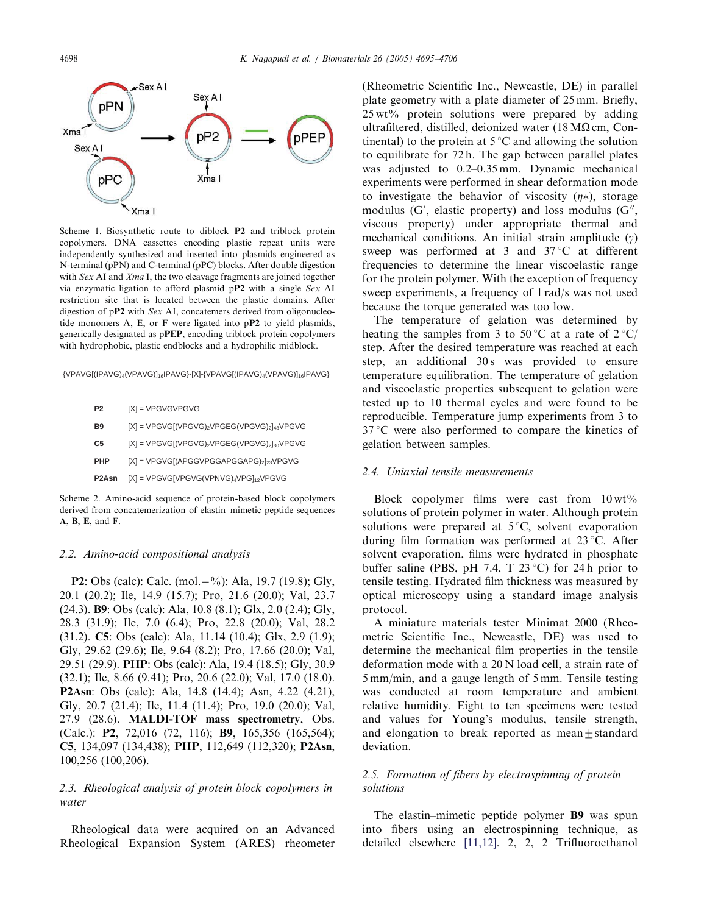

Scheme 1. Biosynthetic route to diblock P2 and triblock protein copolymers. DNA cassettes encoding plastic repeat units were independently synthesized and inserted into plasmids engineered as N-terminal (pPN) and C-terminal (pPC) blocks. After double digestion with Sex AI and Xma I, the two cleavage fragments are joined together via enzymatic ligation to afford plasmid pP2 with a single Sex AI restriction site that is located between the plastic domains. After digestion of pP2 with Sex AI, concatemers derived from oligonucleotide monomers A, E, or F were ligated into pP2 to yield plasmids, generically designated as pPEP, encoding triblock protein copolymers with hydrophobic, plastic endblocks and a hydrophilic midblock.

{VPAVG[(IPAVG)4(VPAVG)]16IPAVG}-[X]-{VPAVG[(IPAVG)4(VPAVG)]16IPAVG}

| P <sub>2</sub> | $[X]$ = VPGVGVPGVG                                                                 |
|----------------|------------------------------------------------------------------------------------|
| B9             | $[X]$ = VPGVG[(VPGVG) <sub>2</sub> VPGEG(VPGVG) <sub>2</sub> ] <sub>48</sub> VPGVG |
| C5             | $[X]$ = VPGVG[(VPGVG) <sub>2</sub> VPGEG(VPGVG) <sub>2</sub> ] <sub>30</sub> VPGVG |
| <b>PHP</b>     | $[X]$ = VPGVG[(APGGVPGGAPGGAPG) <sub>2</sub> ] <sub>23</sub> VPGVG                 |
| P2Asn          | $[X]$ = VPGVG[VPGVG(VPNVG)4VPG]12VPGVG                                             |

Scheme 2. Amino-acid sequence of protein-based block copolymers derived from concatemerization of elastin–mimetic peptide sequences A, B, E, and F.

#### 2.2. Amino-acid compositional analysis

**P2**: Obs (calc): Calc. (mol. -%): Ala, 19.7 (19.8); Gly, 20.1 (20.2); Ile, 14.9 (15.7); Pro, 21.6 (20.0); Val, 23.7 (24.3). B9: Obs (calc): Ala, 10.8 (8.1); Glx, 2.0 (2.4); Gly, 28.3 (31.9); Ile, 7.0 (6.4); Pro, 22.8 (20.0); Val, 28.2 (31.2). C5: Obs (calc): Ala, 11.14 (10.4); Glx, 2.9 (1.9); Gly, 29.62 (29.6); Ile, 9.64 (8.2); Pro, 17.66 (20.0); Val, 29.51 (29.9). PHP: Obs (calc): Ala, 19.4 (18.5); Gly, 30.9 (32.1); Ile, 8.66 (9.41); Pro, 20.6 (22.0); Val, 17.0 (18.0). P2Asn: Obs (calc): Ala, 14.8 (14.4); Asn, 4.22 (4.21), Gly, 20.7 (21.4); Ile, 11.4 (11.4); Pro, 19.0 (20.0); Val, 27.9 (28.6). MALDI-TOF mass spectrometry, Obs. (Calc.): P2, 72,016 (72, 116); B9, 165,356 (165,564); C5, 134,097 (134,438); PHP, 112,649 (112,320); P2Asn, 100,256 (100,206).

# 2.3. Rheological analysis of protein block copolymers in water

Rheological data were acquired on an Advanced Rheological Expansion System (ARES) rheometer

(Rheometric Scientific Inc., Newcastle, DE) in parallel plate geometry with a plate diameter of 25 mm. Briefly, 25 wt% protein solutions were prepared by adding ultrafiltered, distilled, deionized water (18 M $\Omega$  cm, Continental) to the protein at  $5^{\circ}$ C and allowing the solution to equilibrate for 72 h. The gap between parallel plates was adjusted to 0.2–0.35 mm. Dynamic mechanical experiments were performed in shear deformation mode to investigate the behavior of viscosity  $(\eta*)$ , storage modulus  $(G'$ , elastic property) and loss modulus  $(G'',$ viscous property) under appropriate thermal and mechanical conditions. An initial strain amplitude  $(y)$ sweep was performed at 3 and  $37^{\circ}$ C at different frequencies to determine the linear viscoelastic range for the protein polymer. With the exception of frequency sweep experiments, a frequency of 1 rad/s was not used because the torque generated was too low.

The temperature of gelation was determined by heating the samples from 3 to 50 °C at a rate of  $2 \degree C/$ step. After the desired temperature was reached at each step, an additional 30s was provided to ensure temperature equilibration. The temperature of gelation and viscoelastic properties subsequent to gelation were tested up to 10 thermal cycles and were found to be reproducible. Temperature jump experiments from 3 to  $37^{\circ}$ C were also performed to compare the kinetics of gelation between samples.

#### 2.4. Uniaxial tensile measurements

Block copolymer films were cast from  $10 \text{ wt\%}$ solutions of protein polymer in water. Although protein solutions were prepared at  $5^{\circ}C$ , solvent evaporation during film formation was performed at  $23^{\circ}$ C. After solvent evaporation, films were hydrated in phosphate buffer saline (PBS, pH 7.4, T 23 °C) for 24 h prior to tensile testing. Hydrated film thickness was measured by optical microscopy using a standard image analysis protocol.

A miniature materials tester Minimat 2000 (Rheometric Scientific Inc., Newcastle, DE) was used to determine the mechanical film properties in the tensile deformation mode with a 20 N load cell, a strain rate of 5 mm/min, and a gauge length of 5 mm. Tensile testing was conducted at room temperature and ambient relative humidity. Eight to ten specimens were tested and values for Young's modulus, tensile strength, and elongation to break reported as mean $\pm$ standard deviation.

# 2.5. Formation of fibers by electrospinning of protein solutions

The elastin–mimetic peptide polymer B9 was spun into fibers using an electrospinning technique, as detailed elsewhere [11,12]. 2, 2, 2 Trifluoroethanol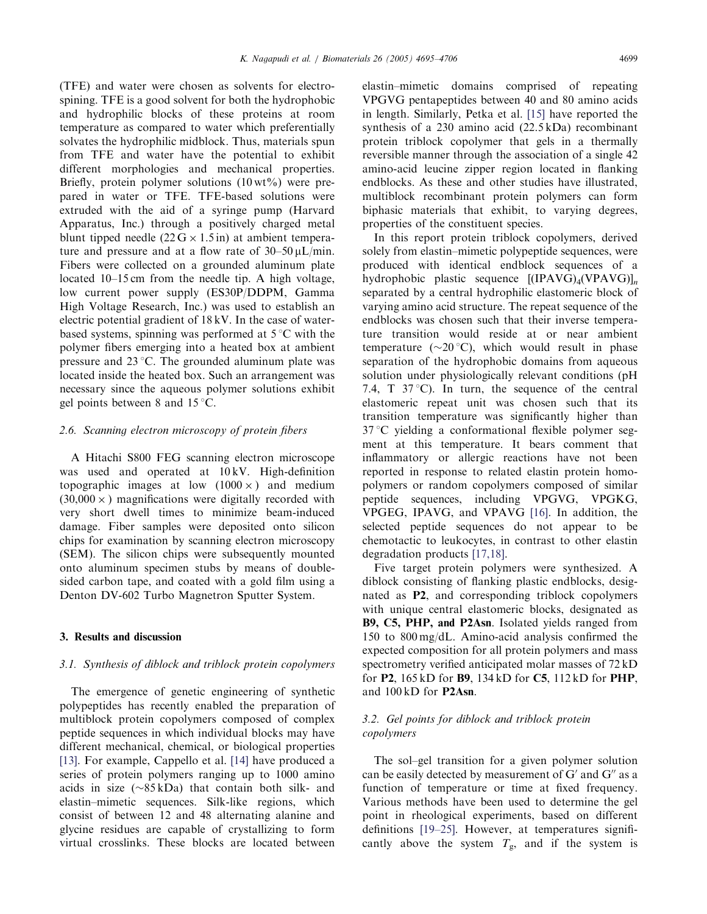(TFE) and water were chosen as solvents for electrospining. TFE is a good solvent for both the hydrophobic and hydrophilic blocks of these proteins at room temperature as compared to water which preferentially solvates the hydrophilic midblock. Thus, materials spun from TFE and water have the potential to exhibit different morphologies and mechanical properties. Briefly, protein polymer solutions  $(10 \text{ wt\%})$  were prepared in water or TFE. TFE-based solutions were extruded with the aid of a syringe pump (Harvard Apparatus, Inc.) through a positively charged metal blunt tipped needle  $(22 G \times 1.5 \text{ in})$  at ambient temperature and pressure and at a flow rate of  $30-50 \mu L/min$ . Fibers were collected on a grounded aluminum plate located 10–15 cm from the needle tip. A high voltage, low current power supply (ES30P/DDPM, Gamma High Voltage Research, Inc.) was used to establish an electric potential gradient of 18 kV. In the case of waterbased systems, spinning was performed at  $5^{\circ}C$  with the polymer fibers emerging into a heated box at ambient pressure and  $23^{\circ}$ C. The grounded aluminum plate was located inside the heated box. Such an arrangement was necessary since the aqueous polymer solutions exhibit gel points between 8 and  $15^{\circ}$ C.

# 2.6. Scanning electron microscopy of protein fibers

A Hitachi S800 FEG scanning electron microscope was used and operated at  $10 \text{ kV}$ . High-definition topographic images at low  $(1000 \times)$  and medium  $(30,000 \times)$  magnifications were digitally recorded with very short dwell times to minimize beam-induced damage. Fiber samples were deposited onto silicon chips for examination by scanning electron microscopy (SEM). The silicon chips were subsequently mounted onto aluminum specimen stubs by means of doublesided carbon tape, and coated with a gold film using a Denton DV-602 Turbo Magnetron Sputter System.

#### 3. Results and discussion

# 3.1. Synthesis of diblock and triblock protein copolymers

The emergence of genetic engineering of synthetic polypeptides has recently enabled the preparation of multiblock protein copolymers composed of complex peptide sequences in which individual blocks may have different mechanical, chemical, or biological properties [13]. For example, Cappello et al. [14] have produced a series of protein polymers ranging up to 1000 amino acids in size  $(\sim 85 \text{ kDa})$  that contain both silk- and elastin–mimetic sequences. Silk-like regions, which consist of between 12 and 48 alternating alanine and glycine residues are capable of crystallizing to form virtual crosslinks. These blocks are located between elastin–mimetic domains comprised of repeating VPGVG pentapeptides between 40 and 80 amino acids in length. Similarly, Petka et al. [15] have reported the synthesis of a 230 amino acid (22.5 kDa) recombinant protein triblock copolymer that gels in a thermally reversible manner through the association of a single 42 amino-acid leucine zipper region located in flanking endblocks. As these and other studies have illustrated, multiblock recombinant protein polymers can form biphasic materials that exhibit, to varying degrees, properties of the constituent species.

In this report protein triblock copolymers, derived solely from elastin–mimetic polypeptide sequences, were produced with identical endblock sequences of a hydrophobic plastic sequence  $[(IPAVG)<sub>4</sub>(VPAVG)]<sub>n</sub>]$ separated by a central hydrophilic elastomeric block of varying amino acid structure. The repeat sequence of the endblocks was chosen such that their inverse temperature transition would reside at or near ambient temperature ( $\sim$ 20 °C), which would result in phase separation of the hydrophobic domains from aqueous solution under physiologically relevant conditions (pH 7.4, T  $37^{\circ}$ C). In turn, the sequence of the central elastomeric repeat unit was chosen such that its transition temperature was significantly higher than  $37^{\circ}$ C yielding a conformational flexible polymer segment at this temperature. It bears comment that inflammatory or allergic reactions have not been reported in response to related elastin protein homopolymers or random copolymers composed of similar peptide sequences, including VPGVG, VPGKG, VPGEG, IPAVG, and VPAVG [16]. In addition, the selected peptide sequences do not appear to be chemotactic to leukocytes, in contrast to other elastin degradation products [17,18].

Five target protein polymers were synthesized. A diblock consisting of flanking plastic endblocks, designated as P2, and corresponding triblock copolymers with unique central elastomeric blocks, designated as B9, C5, PHP, and P2Asn. Isolated yields ranged from 150 to 800 mg/dL. Amino-acid analysis confirmed the expected composition for all protein polymers and mass spectrometry verified anticipated molar masses of 72 kD for P2, 165 kD for B9, 134 kD for C5, 112 kD for PHP, and 100 kD for P2Asn.

# 3.2. Gel points for diblock and triblock protein copolymers

The sol–gel transition for a given polymer solution can be easily detected by measurement of  $G'$  and  $G''$  as a function of temperature or time at fixed frequency. Various methods have been used to determine the gel point in rheological experiments, based on different definitions [19–25]. However, at temperatures significantly above the system  $T_{\rm g}$ , and if the system is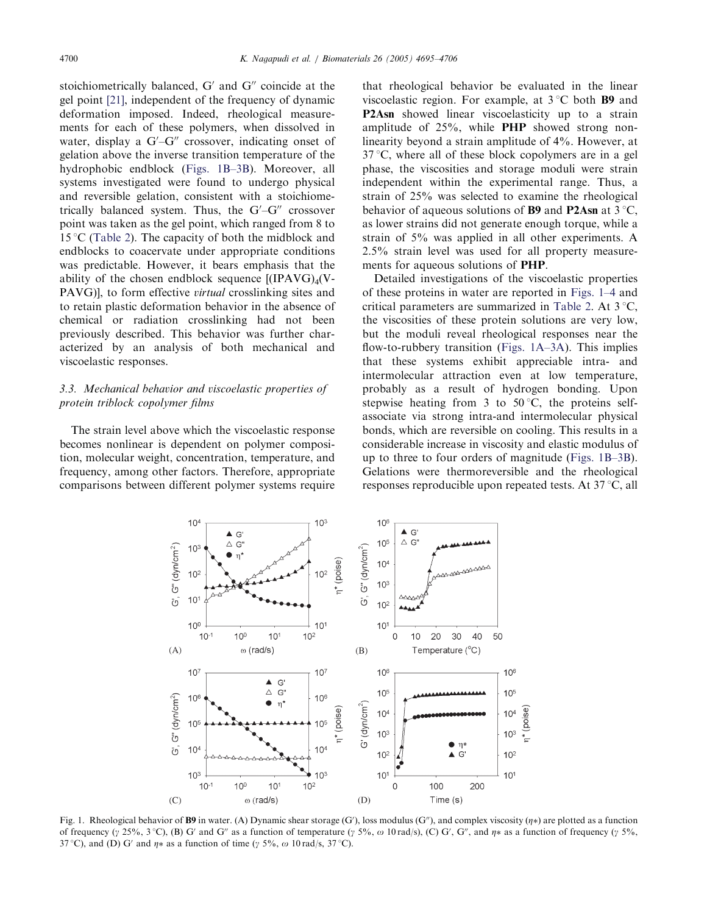stoichiometrically balanced,  $G'$  and  $G''$  coincide at the gel point [21], independent of the frequency of dynamic deformation imposed. Indeed, rheological measurements for each of these polymers, when dissolved in water, display a  $G'-G''$  crossover, indicating onset of gelation above the inverse transition temperature of the hydrophobic endblock (Figs. 1B–3B). Moreover, all systems investigated were found to undergo physical and reversible gelation, consistent with a stoichiometrically balanced system. Thus, the  $G'-G''$  crossover point was taken as the gel point, which ranged from 8 to 15 °C (Table 2). The capacity of both the midblock and endblocks to coacervate under appropriate conditions was predictable. However, it bears emphasis that the ability of the chosen endblock sequence  $[(IPAVG)<sub>4</sub>(V-$ PAVG)], to form effective *virtual* crosslinking sites and to retain plastic deformation behavior in the absence of chemical or radiation crosslinking had not been previously described. This behavior was further characterized by an analysis of both mechanical and viscoelastic responses.

# 3.3. Mechanical behavior and viscoelastic properties of protein triblock copolymer films

The strain level above which the viscoelastic response becomes nonlinear is dependent on polymer composition, molecular weight, concentration, temperature, and frequency, among other factors. Therefore, appropriate comparisons between different polymer systems require that rheological behavior be evaluated in the linear viscoelastic region. For example, at  $3^{\circ}$ C both **B9** and P2Asn showed linear viscoelasticity up to a strain amplitude of 25%, while PHP showed strong nonlinearity beyond a strain amplitude of 4%. However, at  $37^{\circ}$ C, where all of these block copolymers are in a gel phase, the viscosities and storage moduli were strain independent within the experimental range. Thus, a strain of 25% was selected to examine the rheological behavior of aqueous solutions of **B9** and **P2Asn** at  $3^{\circ}C$ , as lower strains did not generate enough torque, while a strain of 5% was applied in all other experiments. A 2.5% strain level was used for all property measurements for aqueous solutions of PHP.

Detailed investigations of the viscoelastic properties of these proteins in water are reported in Figs. 1–4 and critical parameters are summarized in Table 2. At  $3^{\circ}C$ , the viscosities of these protein solutions are very low, but the moduli reveal rheological responses near the flow-to-rubbery transition (Figs. 1A–3A). This implies that these systems exhibit appreciable intra- and intermolecular attraction even at low temperature, probably as a result of hydrogen bonding. Upon stepwise heating from 3 to  $50^{\circ}$ C, the proteins selfassociate via strong intra-and intermolecular physical bonds, which are reversible on cooling. This results in a considerable increase in viscosity and elastic modulus of up to three to four orders of magnitude (Figs. 1B–3B). Gelations were thermoreversible and the rheological responses reproducible upon repeated tests. At  $37^{\circ}$ C, all



Fig. 1. Rheological behavior of **B9** in water. (A) Dynamic shear storage (G'), loss modulus (G''), and complex viscosity ( $\eta$ \*) are plotted as a function of frequency ( $\gamma$  25%, 3 °C), (B) G' and G'' as a function of temperature ( $\gamma$  5%,  $\omega$  10 rad/s), (C) G', G'', and  $\eta$ \* as a function of frequency ( $\gamma$  5%, 37 °C), and (D) G' and  $\eta$  as a function of time ( $\gamma$  5%,  $\omega$  10 rad/s, 37 °C).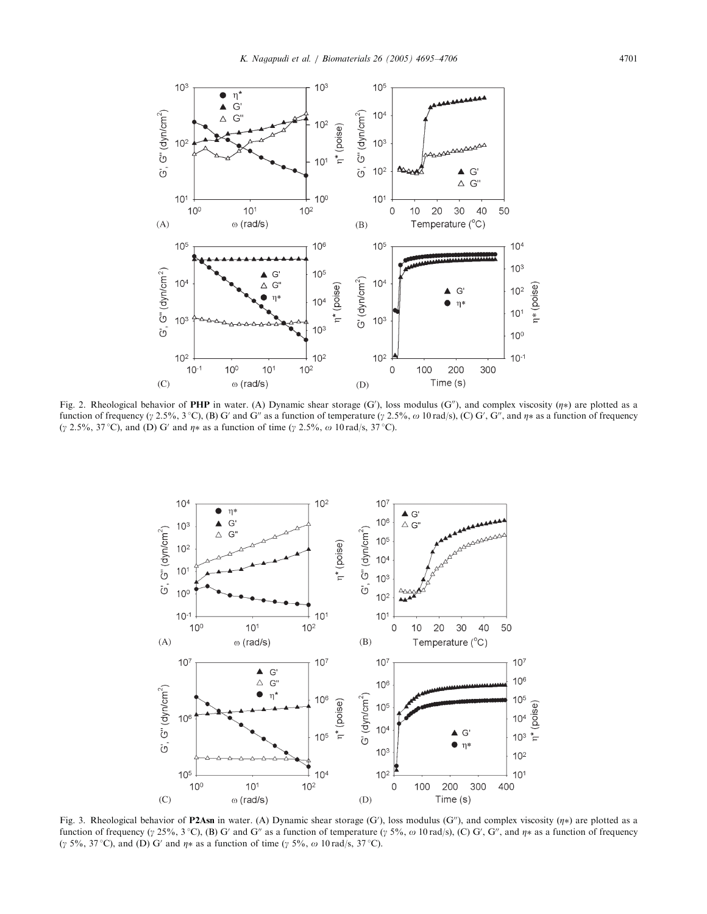

Fig. 2. Rheological behavior of **PHP** in water. (A) Dynamic shear storage (G'), loss modulus (G''), and complex viscosity ( $\eta$ \*) are plotted as a function of frequency ( $\gamma$  2.5%, 3 °C), (B) G' and G" as a function of temperature ( $\gamma$  2.5%,  $\omega$  10 rad/s), (C) G', G", and  $\eta$ \* as a function of frequency ( $\gamma$  2.5%, 37 °C), and (D) G' and  $\eta$ \* as a function of time ( $\gamma$  2.5%,  $\omega$  10 rad/s, 37 °C).



Fig. 3. Rheological behavior of **P2Asn** in water. (A) Dynamic shear storage  $(G')$ , loss modulus  $(G'')$ , and complex viscosity  $(\eta*)$  are plotted as a function of frequency ( $\gamma$  25%, 3 °C), (B) G' and G" as a function of temperature ( $\gamma$  5%,  $\omega$  10 rad/s), (C) G', G", and  $\eta$ \* as a function of frequency ( $\gamma$  5%, 37 °C), and (D) G' and  $\eta$ \* as a function of time ( $\gamma$  5%,  $\omega$  10 rad/s, 37 °C).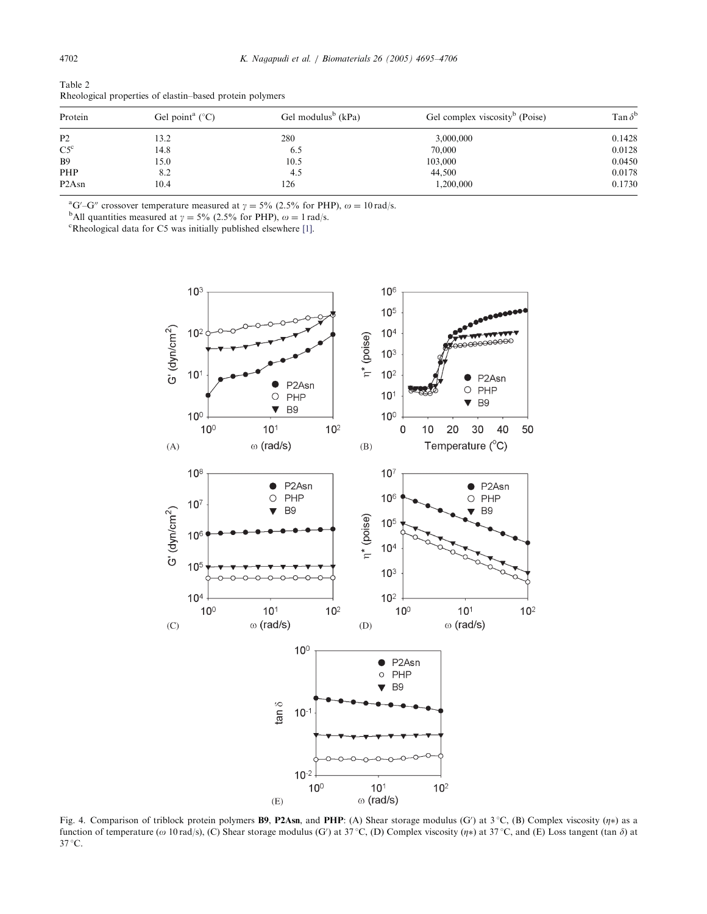| Protein                        | Gel point <sup>a</sup> $(^{\circ}C)$ | Gel modulus <sup>b</sup> (kPa) | Gel complex viscosity <sup>b</sup> (Poise) | Tan $\delta^{\text{b}}$ |
|--------------------------------|--------------------------------------|--------------------------------|--------------------------------------------|-------------------------|
| P <sub>2</sub>                 | 13.2                                 | 280                            | 3,000,000                                  | 0.1428                  |
| $C5^{\circ}$                   | 14.8                                 | 6.5                            | 70,000                                     | 0.0128                  |
| <b>B</b> 9                     | 15.0                                 | 10.5                           | 103,000                                    | 0.0450                  |
| PHP                            | 8.2                                  | 4.5                            | 44,500                                     | 0.0178                  |
| P <sub>2</sub> A <sub>sn</sub> | 10.4                                 | 126                            | 1,200,000                                  | 0.1730                  |
|                                |                                      |                                |                                            |                         |

Table 2 Rheological properties of elastin–based protein polymers

<sup>a</sup>G'-G'' crossover temperature measured at  $\gamma = 5\%$  (2.5% for PHP),  $\omega = 10 \text{ rad/s}$ .

<sup>b</sup>All quantities measured at  $\gamma = 5\%$  (2.5% for PHP),  $\omega = 1$  rad/s.

Rheological data for C5 was initially published elsewhere [1].



Fig. 4. Comparison of triblock protein polymers **B9**, **P2Asn**, and **PHP**: (A) Shear storage modulus (G') at  $3^{\circ}C$ , (B) Complex viscosity ( $\eta$ \*) as a function of temperature ( $\omega$  10 rad/s), (C) Shear storage modulus (G') at 37 °C, (D) Complex viscosity ( $\eta$ \*) at 37 °C, and (E) Loss tangent (tan  $\delta$ ) at 37 °C.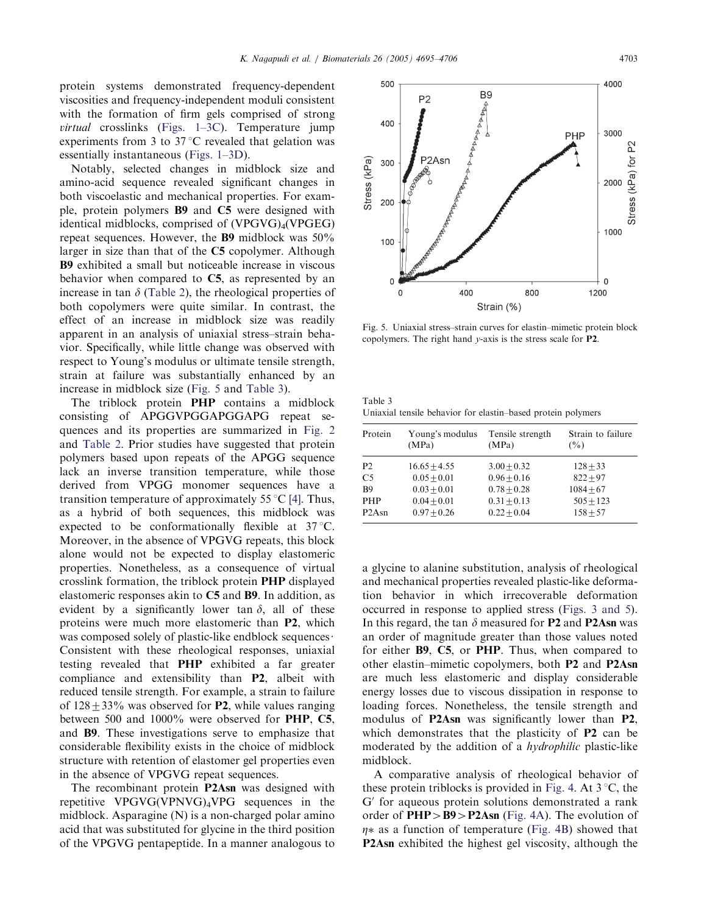protein systems demonstrated frequency-dependent viscosities and frequency-independent moduli consistent with the formation of firm gels comprised of strong virtual crosslinks (Figs. 1–3C). Temperature jump experiments from 3 to  $37^{\circ}$ C revealed that gelation was essentially instantaneous (Figs. 1–3D).

Notably, selected changes in midblock size and amino-acid sequence revealed significant changes in both viscoelastic and mechanical properties. For example, protein polymers B9 and C5 were designed with identical midblocks, comprised of  $(VPGVG)_{4}(VPGEG)$ repeat sequences. However, the B9 midblock was 50% larger in size than that of the C5 copolymer. Although B9 exhibited a small but noticeable increase in viscous behavior when compared to C5, as represented by an increase in tan  $\delta$  (Table 2), the rheological properties of both copolymers were quite similar. In contrast, the effect of an increase in midblock size was readily apparent in an analysis of uniaxial stress–strain behavior. Specifically, while little change was observed with respect to Young's modulus or ultimate tensile strength, strain at failure was substantially enhanced by an increase in midblock size (Fig. 5 and Table 3).

The triblock protein PHP contains a midblock consisting of APGGVPGGAPGGAPG repeat sequences and its properties are summarized in Fig. 2 and Table 2. Prior studies have suggested that protein polymers based upon repeats of the APGG sequence lack an inverse transition temperature, while those derived from VPGG monomer sequences have a transition temperature of approximately 55  $\mathrm{C}$  [4]. Thus, as a hybrid of both sequences, this midblock was expected to be conformationally flexible at  $37^{\circ}$ C. Moreover, in the absence of VPGVG repeats, this block alone would not be expected to display elastomeric properties. Nonetheless, as a consequence of virtual crosslink formation, the triblock protein PHP displayed elastomeric responses akin to C5 and B9. In addition, as evident by a significantly lower tan  $\delta$ , all of these proteins were much more elastomeric than P2, which was composed solely of plastic-like endblock sequences $\cdot$ Consistent with these rheological responses, uniaxial testing revealed that PHP exhibited a far greater compliance and extensibility than P2, albeit with reduced tensile strength. For example, a strain to failure of  $128 \pm 33\%$  was observed for **P2**, while values ranging between 500 and 1000% were observed for PHP, C5, and B9. These investigations serve to emphasize that considerable flexibility exists in the choice of midblock structure with retention of elastomer gel properties even in the absence of VPGVG repeat sequences.

The recombinant protein P2Asn was designed with repetitive VPGVG(VPNVG)4VPG sequences in the midblock. Asparagine (N) is a non-charged polar amino acid that was substituted for glycine in the third position of the VPGVG pentapeptide. In a manner analogous to



Fig. 5. Uniaxial stress–strain curves for elastin–mimetic protein block copolymers. The right hand  $\nu$ -axis is the stress scale for **P2**.

| Table 3                                                      |  |  |
|--------------------------------------------------------------|--|--|
| Uniaxial tensile behavior for elastin-based protein polymers |  |  |

| Protein        | Young's modulus | Tensile strength | Strain to failure |
|----------------|-----------------|------------------|-------------------|
|                | (MPa)           | (MPa)            | $($ %)            |
| P <sub>2</sub> | $16.65 + 4.55$  | $3.00 + 0.32$    | $128 + 33$        |
| C <sub>5</sub> | $0.05 + 0.01$   | $0.96 + 0.16$    | $822 + 97$        |
| R <sub>9</sub> | $0.03 + 0.01$   | $0.78 + 0.28$    | $1084 + 67$       |
| <b>PHP</b>     | $0.04 + 0.01$   | $0.31 + 0.13$    | $505 + 123$       |
| P2Asn          | $0.97 + 0.26$   | $0.22 + 0.04$    | $158 + 57$        |

a glycine to alanine substitution, analysis of rheological and mechanical properties revealed plastic-like deformation behavior in which irrecoverable deformation occurred in response to applied stress (Figs. 3 and 5). In this regard, the tan  $\delta$  measured for P2 and P2Asn was an order of magnitude greater than those values noted for either B9, C5, or PHP. Thus, when compared to other elastin–mimetic copolymers, both P2 and P2Asn are much less elastomeric and display considerable energy losses due to viscous dissipation in response to loading forces. Nonetheless, the tensile strength and modulus of P2Asn was significantly lower than P2, which demonstrates that the plasticity of **P2** can be moderated by the addition of a *hydrophilic* plastic-like midblock.

A comparative analysis of rheological behavior of these protein triblocks is provided in Fig. 4. At  $3^{\circ}C$ , the  $G'$  for aqueous protein solutions demonstrated a rank order of  $PHP > B9$  > P2Asn (Fig. 4A). The evolution of  $\eta$  as a function of temperature (Fig. 4B) showed that P2Asn exhibited the highest gel viscosity, although the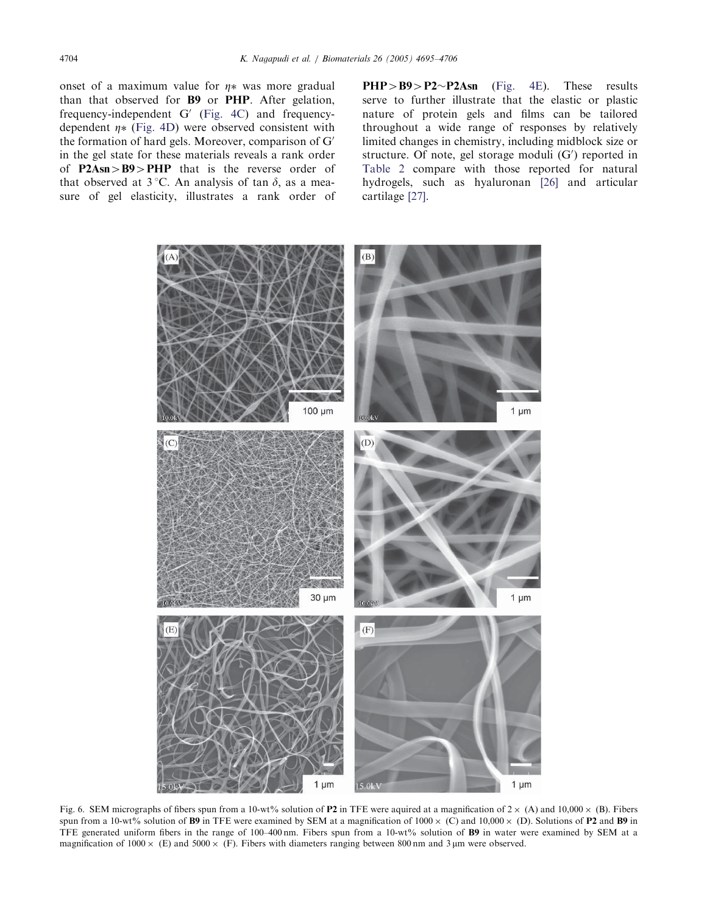onset of a maximum value for  $\eta$  was more gradual than that observed for B9 or PHP. After gelation, frequency-independent  $G'$  (Fig. 4C) and frequencydependent  $\eta$ \* (Fig. 4D) were observed consistent with the formation of hard gels. Moreover, comparison of  $G'$ in the gel state for these materials reveals a rank order of  $P2Asn > B9 > PHP$  that is the reverse order of that observed at  $3^{\circ}$ C. An analysis of tan  $\delta$ , as a measure of gel elasticity, illustrates a rank order of

 $PHP > B9 > P2 \sim P2Asn$  (Fig. 4E). These results serve to further illustrate that the elastic or plastic nature of protein gels and films can be tailored throughout a wide range of responses by relatively limited changes in chemistry, including midblock size or structure. Of note, gel storage moduli  $(G')$  reported in Table 2 compare with those reported for natural hydrogels, such as hyaluronan [26] and articular cartilage [27].



Fig. 6. SEM micrographs of fibers spun from a 10-wt% solution of **P2** in TFE were aquired at a magnification of  $2 \times (A)$  and  $10,000 \times (B)$ . Fibers spun from a 10-wt% solution of B9 in TFE were examined by SEM at a magnification of  $1000 \times (C)$  and  $10,000 \times (D)$ . Solutions of P2 and B9 in TFE generated uniform fibers in the range of 100–400 nm. Fibers spun from a 10-wt% solution of B9 in water were examined by SEM at a magnification of  $1000 \times$  (E) and  $5000 \times$  (F). Fibers with diameters ranging between 800 nm and 3 µm were observed.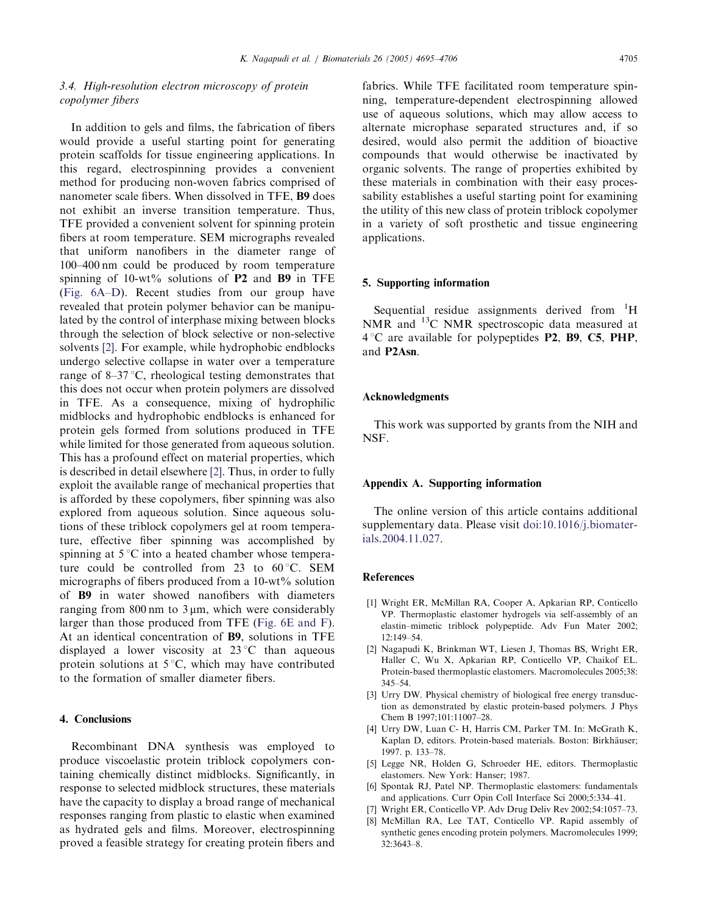# 3.4. High-resolution electron microscopy of protein copolymer fibers

In addition to gels and films, the fabrication of fibers would provide a useful starting point for generating protein scaffolds for tissue engineering applications. In this regard, electrospinning provides a convenient method for producing non-woven fabrics comprised of nanometer scale fibers. When dissolved in TFE, B9 does not exhibit an inverse transition temperature. Thus, TFE provided a convenient solvent for spinning protein fibers at room temperature. SEM micrographs revealed that uniform nanofibers in the diameter range of 100–400 nm could be produced by room temperature spinning of  $10-wt\%$  solutions of **P2** and **B9** in TFE (Fig. 6A–D). Recent studies from our group have revealed that protein polymer behavior can be manipulated by the control of interphase mixing between blocks through the selection of block selective or non-selective solvents [2]. For example, while hydrophobic endblocks undergo selective collapse in water over a temperature range of  $8-37$  °C, rheological testing demonstrates that this does not occur when protein polymers are dissolved in TFE. As a consequence, mixing of hydrophilic midblocks and hydrophobic endblocks is enhanced for protein gels formed from solutions produced in TFE while limited for those generated from aqueous solution. This has a profound effect on material properties, which is described in detail elsewhere [2]. Thus, in order to fully exploit the available range of mechanical properties that is afforded by these copolymers, fiber spinning was also explored from aqueous solution. Since aqueous solutions of these triblock copolymers gel at room temperature, effective fiber spinning was accomplished by spinning at  $5^{\circ}$ C into a heated chamber whose temperature could be controlled from 23 to  $60^{\circ}$ C. SEM micrographs of fibers produced from a 10-wt% solution of B9 in water showed nanofibers with diameters ranging from  $800 \text{ nm}$  to  $3 \mu \text{m}$ , which were considerably larger than those produced from TFE (Fig. 6E and F). At an identical concentration of B9, solutions in TFE displayed a lower viscosity at  $23^{\circ}$ C than aqueous protein solutions at  $5^{\circ}C$ , which may have contributed to the formation of smaller diameter fibers.

# 4. Conclusions

Recombinant DNA synthesis was employed to produce viscoelastic protein triblock copolymers containing chemically distinct midblocks. Significantly, in response to selected midblock structures, these materials have the capacity to display a broad range of mechanical responses ranging from plastic to elastic when examined as hydrated gels and films. Moreover, electrospinning proved a feasible strategy for creating protein fibers and fabrics. While TFE facilitated room temperature spinning, temperature-dependent electrospinning allowed use of aqueous solutions, which may allow access to alternate microphase separated structures and, if so desired, would also permit the addition of bioactive compounds that would otherwise be inactivated by organic solvents. The range of properties exhibited by these materials in combination with their easy processability establishes a useful starting point for examining the utility of this new class of protein triblock copolymer in a variety of soft prosthetic and tissue engineering applications.

#### 5. Supporting information

Sequential residue assignments derived from <sup>1</sup>H NMR and  $^{13}$ C NMR spectroscopic data measured at  $4^{\circ}$ C are available for polypeptides P2, B9, C5, PHP, and P2Asn.

## Acknowledgments

This work was supported by grants from the NIH and NSF.

#### Appendix A. Supporting information

The online version of this article contains additional supplementary data. Please visit doi:10.1016/j.biomaterials.2004.11.027.

#### References

- [1] Wright ER, McMillan RA, Cooper A, Apkarian RP, Conticello VP. Thermoplastic elastomer hydrogels via self-assembly of an elastin–mimetic triblock polypeptide. Adv Fun Mater 2002; 12:149–54.
- [2] Nagapudi K, Brinkman WT, Liesen J, Thomas BS, Wright ER, Haller C, Wu X, Apkarian RP, Conticello VP, Chaikof EL. Protein-based thermoplastic elastomers. Macromolecules 2005;38: 345–54.
- [3] Urry DW. Physical chemistry of biological free energy transduction as demonstrated by elastic protein-based polymers. J Phys Chem B 1997;101:11007–28.
- [4] Urry DW, Luan C- H, Harris CM, Parker TM. In: McGrath K, Kaplan D, editors. Protein-based materials. Boston: Birkhäuser; 1997. p. 133–78.
- [5] Legge NR, Holden G, Schroeder HE, editors. Thermoplastic elastomers. New York: Hanser; 1987.
- [6] Spontak RJ, Patel NP. Thermoplastic elastomers: fundamentals and applications. Curr Opin Coll Interface Sci 2000;5:334–41.
- [7] Wright ER, Conticello VP. Adv Drug Deliv Rev 2002;54:1057–73.
- [8] McMillan RA, Lee TAT, Conticello VP. Rapid assembly of synthetic genes encoding protein polymers. Macromolecules 1999; 32:3643–8.